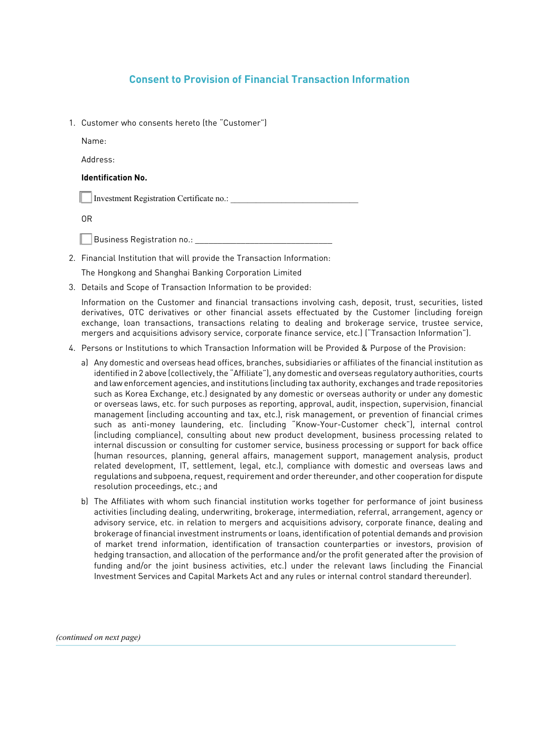## **Consent to Provision of Financial Transaction Information**

1. Customer who consents hereto (the "Customer")

Name:

Address:

## **Identification No.**

 $\vert$  Investment Registration Certificate no.:

OR

Business Registration no.:

2. Financial Institution that will provide the Transaction Information:

The Hongkong and Shanghai Banking Corporation Limited

3. Details and Scope of Transaction Information to be provided:

Information on the Customer and financial transactions involving cash, deposit, trust, securities, listed derivatives, OTC derivatives or other financial assets effectuated by the Customer (including foreign exchange, loan transactions, transactions relating to dealing and brokerage service, trustee service, mergers and acquisitions advisory service, corporate finance service, etc.) ("Transaction Information").

- 4. Persons or Institutions to which Transaction Information will be Provided & Purpose of the Provision:
	- a) Any domestic and overseas head offices, branches, subsidiaries or affiliates of the financial institution as identified in 2 above (collectively, the "Affiliate"), any domestic and overseas regulatory authorities, courts and law enforcement agencies, and institutions (including tax authority, exchanges and trade repositories such as Korea Exchange, etc.) designated by any domestic or overseas authority or under any domestic or overseas laws, etc. for such purposes as reporting, approval, audit, inspection, supervision, financial management (including accounting and tax, etc.), risk management, or prevention of financial crimes such as anti-money laundering, etc. (including "Know-Your-Customer check"), internal control (including compliance), consulting about new product development, business processing related to internal discussion or consulting for customer service, business processing or support for back office (human resources, planning, general affairs, management support, management analysis, product related development, IT, settlement, legal, etc.), compliance with domestic and overseas laws and regulations and subpoena, request, requirement and order thereunder, and other cooperation for dispute resolution proceedings, etc.; and
	- b) The Affiliates with whom such financial institution works together for performance of joint business activities (including dealing, underwriting, brokerage, intermediation, referral, arrangement, agency or advisory service, etc. in relation to mergers and acquisitions advisory, corporate finance, dealing and brokerage of financial investment instruments or loans, identification of potential demands and provision of market trend information, identification of transaction counterparties or investors, provision of hedging transaction, and allocation of the performance and/or the profit generated after the provision of funding and/or the joint business activities, etc.) under the relevant laws (including the Financial Investment Services and Capital Markets Act and any rules or internal control standard thereunder).